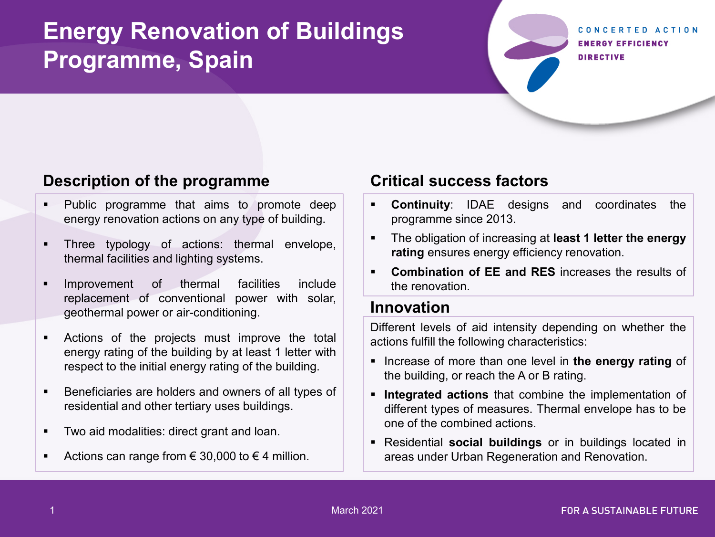## **Energy Renovation of Buildings Programme, Spain**

#### CONCERTED ACTION **ENERGY EFFICIENCY DIRECTIVE**

#### **Description of the programme**

- **Public programme that aims to promote deep** energy renovation actions on any type of building.
- **Three typology of actions: thermal envelope,** thermal facilities and lighting systems.
- **Improvement of thermal facilities include** replacement of conventional power with solar, geothermal power or air-conditioning.
- Actions of the projects must improve the total energy rating of the building by at least 1 letter with respect to the initial energy rating of the building.
- **Beneficiaries are holders and owners of all types of** residential and other tertiary uses buildings.
- **Two aid modalities: direct grant and loan.**
- Actions can range from  $\epsilon$  30,000 to  $\epsilon$  4 million.

### **Critical success factors**

- **Continuity**: IDAE designs and coordinates the programme since 2013.
- The obligation of increasing at **least 1 letter the energy rating** ensures energy efficiency renovation.
- **Combination of EE and RES** increases the results of the renovation.

#### **Innovation**

Different levels of aid intensity depending on whether the actions fulfill the following characteristics:

- **Increase of more than one level in the energy rating of** the building, or reach the A or B rating.
- **Integrated actions** that combine the implementation of different types of measures. Thermal envelope has to be one of the combined actions.
- Residential **social buildings** or in buildings located in areas under Urban Regeneration and Renovation.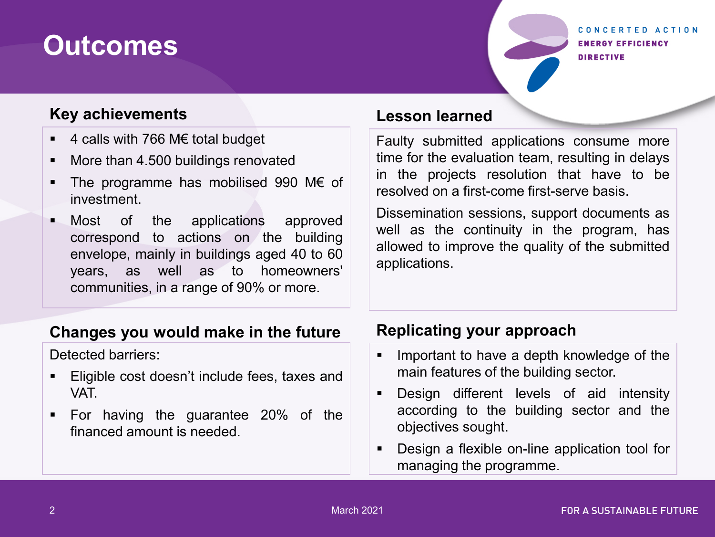## **Outcomes**

#### CONCERTED ACTION **ENERGY EFFICIENCY DIRECTIVE**

#### **Key achievements**

- 4 calls with 766 M€ total budget
- **More than 4.500 buildings renovated**
- The programme has mobilised 990 M€ of investment.
- **Nost** of the applications approved correspond to actions on the building envelope, mainly in buildings aged 40 to 60 years, as well as to homeowners' communities, in a range of 90% or more.

### **Lesson learned**

Faulty submitted applications consume more time for the evaluation team, resulting in delays in the projects resolution that have to be resolved on a first-come first-serve basis.

Dissemination sessions, support documents as well as the continuity in the program, has allowed to improve the quality of the submitted applications.

### **Changes you would make in the future**

Detected barriers:

- **Eligible cost doesn't include fees, taxes and** VAT.
- For having the guarantee 20% of the financed amount is needed.

## **Replicating your approach**

- **IMPORE 1** Important to have a depth knowledge of the main features of the building sector.
- Design different levels of aid intensity according to the building sector and the objectives sought.
- Design a flexible on-line application tool for managing the programme.